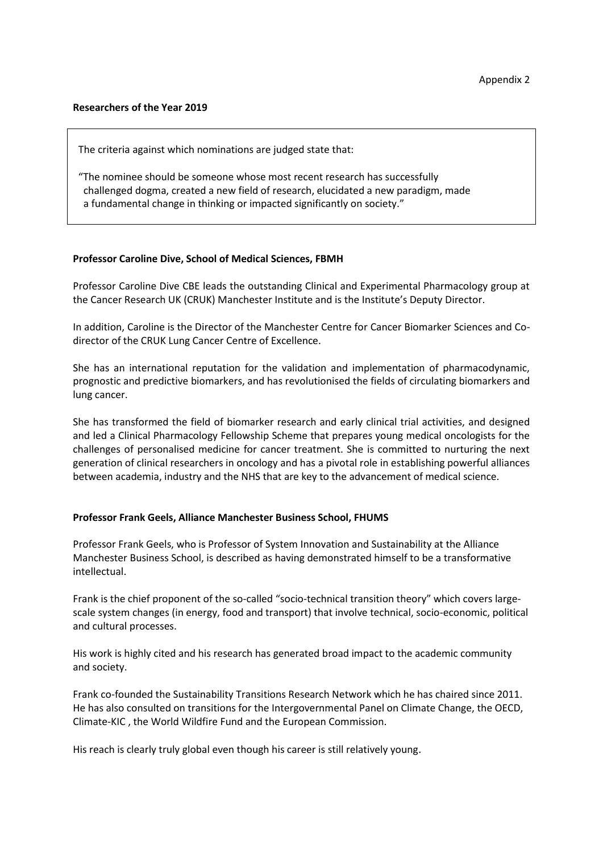## **Researchers of the Year 2019**

The criteria against which nominations are judged state that:

"The nominee should be someone whose most recent research has successfully challenged dogma, created a new field of research, elucidated a new paradigm, made a fundamental change in thinking or impacted significantly on society."

## **Professor Caroline Dive, School of Medical Sciences, FBMH**

Professor Caroline Dive CBE leads the outstanding Clinical and Experimental Pharmacology group at the Cancer Research UK (CRUK) Manchester Institute and is the Institute's Deputy Director.

In addition, Caroline is the Director of the Manchester Centre for Cancer Biomarker Sciences and Codirector of the CRUK Lung Cancer Centre of Excellence.

She has an international reputation for the validation and implementation of pharmacodynamic, prognostic and predictive biomarkers, and has revolutionised the fields of circulating biomarkers and lung cancer.

She has transformed the field of biomarker research and early clinical trial activities, and designed and led a Clinical Pharmacology Fellowship Scheme that prepares young medical oncologists for the challenges of personalised medicine for cancer treatment. She is committed to nurturing the next generation of clinical researchers in oncology and has a pivotal role in establishing powerful alliances between academia, industry and the NHS that are key to the advancement of medical science.

## **Professor Frank Geels, Alliance Manchester Business School, FHUMS**

Professor Frank Geels, who is Professor of System Innovation and Sustainability at the Alliance Manchester Business School, is described as having demonstrated himself to be a transformative intellectual.

Frank is the chief proponent of the so-called "socio-technical transition theory" which covers largescale system changes (in energy, food and transport) that involve technical, socio-economic, political and cultural processes.

His work is highly cited and his research has generated broad impact to the academic community and society.

Frank co-founded the Sustainability Transitions Research Network which he has chaired since 2011. He has also consulted on transitions for the Intergovernmental Panel on Climate Change, the OECD, Climate-KIC , the World Wildfire Fund and the European Commission.

His reach is clearly truly global even though his career is still relatively young.